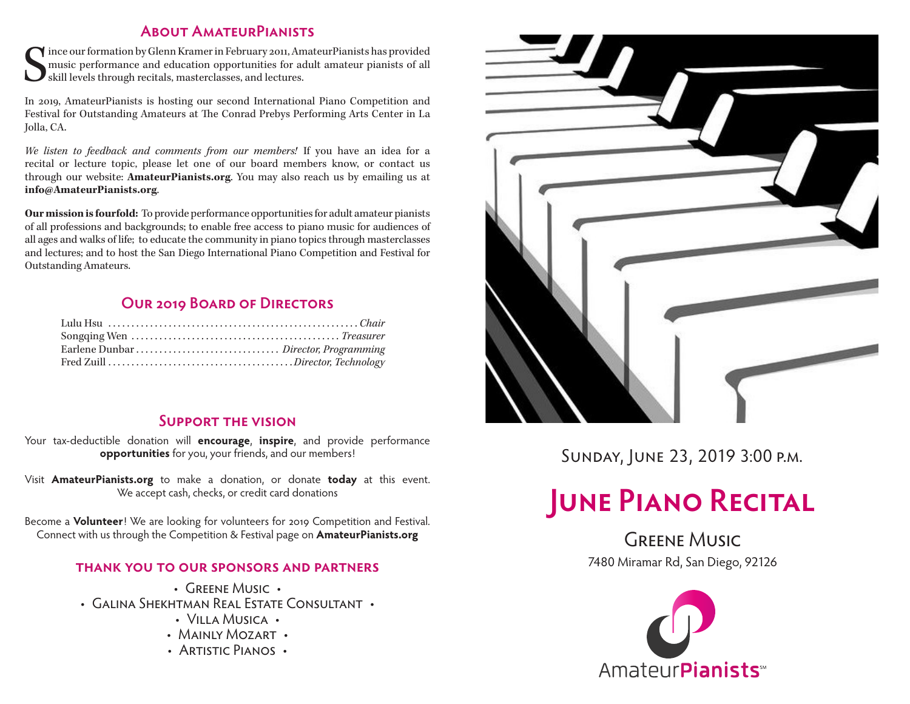#### **About AmateurPianists**

S ince our formation by Glenn Kramer in February 2011, AmateurPianists has provided music performance and education opportunities for adult amateur pianists of all skill levels through recitals, masterclasses, and lectures.

In 2019, AmateurPianists is hosting our second International Piano Competition and Festival for Outstanding Amateurs at The Conrad Prebys Performing Arts Center in La Jolla, CA.

*We listen to feedback and comments from our members!* If you have an idea for a recital or lecture topic, please let one of our board members know, or contact us through our website: **AmateurPianists.org**. You may also reach us by emailing us at **info@AmateurPianists.org**.

**Our mission is fourfold:** To provide performance opportunities for adult amateur pianists of all professions and backgrounds; to enable free access to piano music for audiences of all ages and walks of life; to educate the community in piano topics through masterclasses and lectures; and to host the San Diego International Piano Competition and Festival for Outstanding Amateurs.

#### **Our 2019 Board of Directors**

#### **Support the vision**

Your tax-deductible donation will **encourage**, **inspire**, and provide performance **opportunities** for you, your friends, and our members!

Visit **AmateurPianists.org** to make a donation, or donate **today** at this event. We accept cash, checks, or credit card donations

Become a **Volunteer**! We are looking for volunteers for 2019 Competition and Festival. Connect with us through the Competition & Festival page on **AmateurPianists.org**

#### **thank you to our sponsors and partners**

- GREENE MUSIC •
- Galina Shekhtman Real Estate Consultant
	- Villa Musica •
	- MAINLY MOZART •
	- ARTISTIC PIANOS •



Sunday, June 23, 2019 3:00 p.m.

# **JUNE PIANO RECITAL**

**GREENE MUSIC** 7480 Miramar Rd, San Diego, 92126